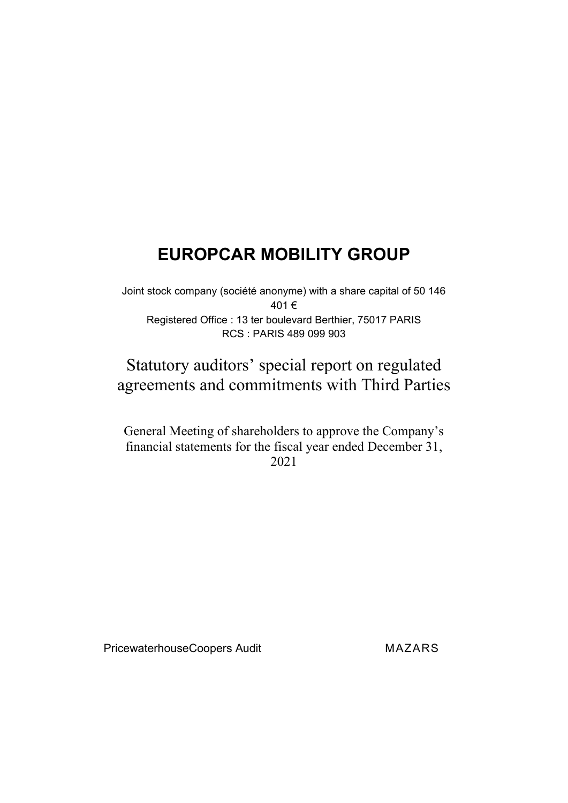Joint stock company (société anonyme) with a share capital of 50 146 401 € Registered Office : 13 ter boulevard Berthier, 75017 PARIS RCS : PARIS 489 099 903

## Statutory auditors' special report on regulated agreements and commitments with Third Parties

General Meeting of shareholders to approve the Company's financial statements for the fiscal year ended December 31, 2021

PricewaterhouseCoopers Audit MAZARS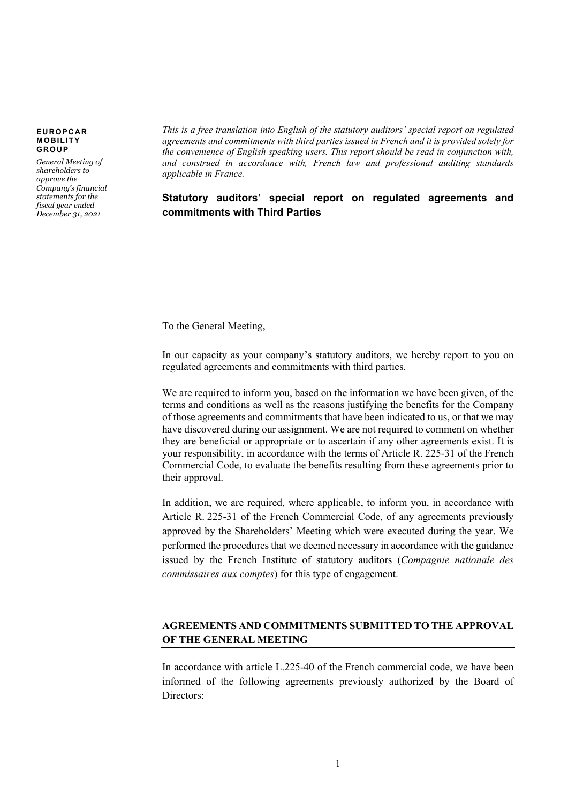*General Meeting of shareholders to approve the Company's financial statements for the fiscal year ended December 31, 2021*

*This is a free translation into English of the statutory auditors' special report on regulated agreements and commitments with third parties issued in French and it is provided solely for the convenience of English speaking users. This report should be read in conjunction with, and construed in accordance with, French law and professional auditing standards applicable in France.*

## **Statutory auditors' special report on regulated agreements and commitments with Third Parties**

To the General Meeting,

In our capacity as your company's statutory auditors, we hereby report to you on regulated agreements and commitments with third parties.

We are required to inform you, based on the information we have been given, of the terms and conditions as well as the reasons justifying the benefits for the Company of those agreements and commitments that have been indicated to us, or that we may have discovered during our assignment. We are not required to comment on whether they are beneficial or appropriate or to ascertain if any other agreements exist. It is your responsibility, in accordance with the terms of Article R. 225-31 of the French Commercial Code, to evaluate the benefits resulting from these agreements prior to their approval.

In addition, we are required, where applicable, to inform you, in accordance with Article R. 225‑31 of the French Commercial Code, of any agreements previously approved by the Shareholders' Meeting which were executed during the year. We performed the procedures that we deemed necessary in accordance with the guidance issued by the French Institute of statutory auditors (*Compagnie nationale des commissaires aux comptes*) for this type of engagement.

## **AGREEMENTS AND COMMITMENTS SUBMITTED TO THE APPROVAL OF THE GENERAL MEETING**

In accordance with article L.225-40 of the French commercial code, we have been informed of the following agreements previously authorized by the Board of Directors: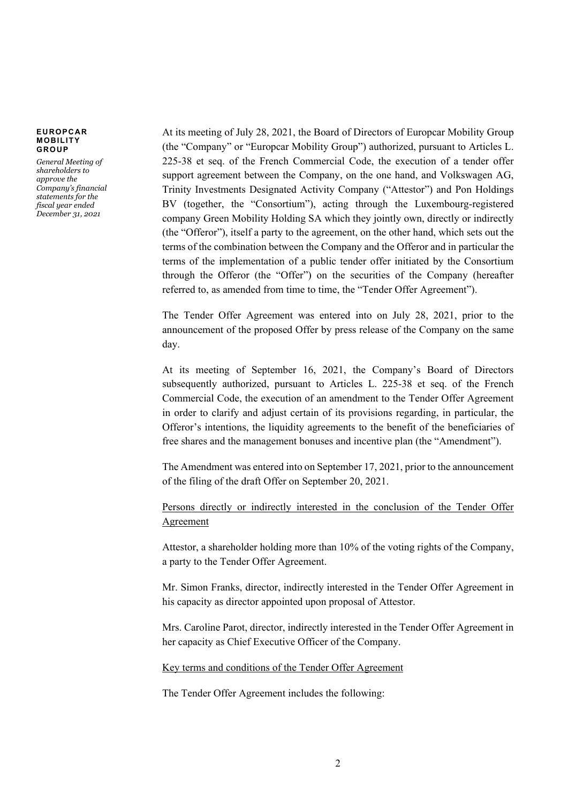*General Meeting of shareholders to approve the Company's financial statements for the fiscal year ended December 31, 2021*

At its meeting of July 28, 2021, the Board of Directors of Europcar Mobility Group (the "Company" or "Europcar Mobility Group") authorized, pursuant to Articles L. 225-38 et seq. of the French Commercial Code, the execution of a tender offer support agreement between the Company, on the one hand, and Volkswagen AG, Trinity Investments Designated Activity Company ("Attestor") and Pon Holdings BV (together, the "Consortium"), acting through the Luxembourg-registered company Green Mobility Holding SA which they jointly own, directly or indirectly (the "Offeror"), itself a party to the agreement, on the other hand, which sets out the terms of the combination between the Company and the Offeror and in particular the terms of the implementation of a public tender offer initiated by the Consortium through the Offeror (the "Offer") on the securities of the Company (hereafter referred to, as amended from time to time, the "Tender Offer Agreement").

The Tender Offer Agreement was entered into on July 28, 2021, prior to the announcement of the proposed Offer by press release of the Company on the same day.

At its meeting of September 16, 2021, the Company's Board of Directors subsequently authorized, pursuant to Articles L. 225-38 et seq. of the French Commercial Code, the execution of an amendment to the Tender Offer Agreement in order to clarify and adjust certain of its provisions regarding, in particular, the Offeror's intentions, the liquidity agreements to the benefit of the beneficiaries of free shares and the management bonuses and incentive plan (the "Amendment").

The Amendment was entered into on September 17, 2021, prior to the announcement of the filing of the draft Offer on September 20, 2021.

Persons directly or indirectly interested in the conclusion of the Tender Offer Agreement

Attestor, a shareholder holding more than 10% of the voting rights of the Company, a party to the Tender Offer Agreement.

Mr. Simon Franks, director, indirectly interested in the Tender Offer Agreement in his capacity as director appointed upon proposal of Attestor.

Mrs. Caroline Parot, director, indirectly interested in the Tender Offer Agreement in her capacity as Chief Executive Officer of the Company.

Key terms and conditions of the Tender Offer Agreement

The Tender Offer Agreement includes the following: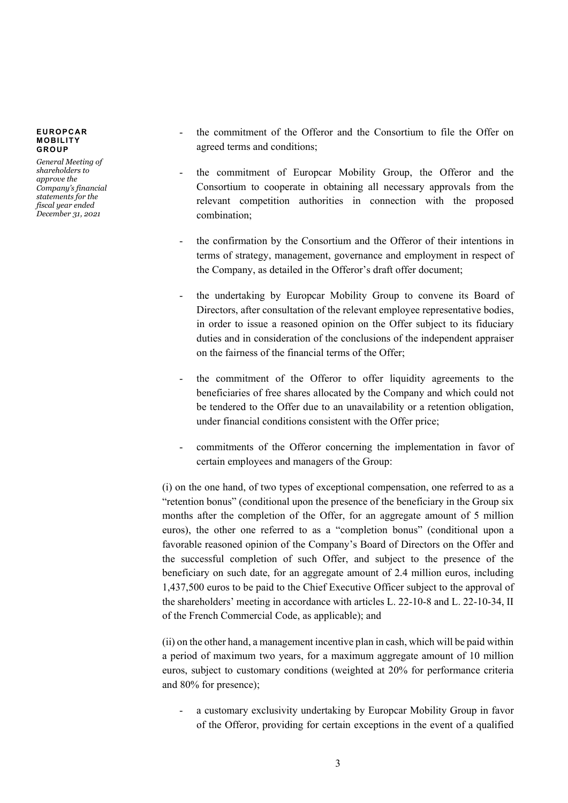*General Meeting of shareholders to approve the Company's financial statements for the fiscal year ended December 31, 2021*

- the commitment of the Offeror and the Consortium to file the Offer on agreed terms and conditions;
- the commitment of Europcar Mobility Group, the Offeror and the Consortium to cooperate in obtaining all necessary approvals from the relevant competition authorities in connection with the proposed combination;
- the confirmation by the Consortium and the Offeror of their intentions in terms of strategy, management, governance and employment in respect of the Company, as detailed in the Offeror's draft offer document;
- the undertaking by Europcar Mobility Group to convene its Board of Directors, after consultation of the relevant employee representative bodies, in order to issue a reasoned opinion on the Offer subject to its fiduciary duties and in consideration of the conclusions of the independent appraiser on the fairness of the financial terms of the Offer;
- the commitment of the Offeror to offer liquidity agreements to the beneficiaries of free shares allocated by the Company and which could not be tendered to the Offer due to an unavailability or a retention obligation, under financial conditions consistent with the Offer price;
- commitments of the Offeror concerning the implementation in favor of certain employees and managers of the Group:

(i) on the one hand, of two types of exceptional compensation, one referred to as a "retention bonus" (conditional upon the presence of the beneficiary in the Group six months after the completion of the Offer, for an aggregate amount of 5 million euros), the other one referred to as a "completion bonus" (conditional upon a favorable reasoned opinion of the Company's Board of Directors on the Offer and the successful completion of such Offer, and subject to the presence of the beneficiary on such date, for an aggregate amount of 2.4 million euros, including 1,437,500 euros to be paid to the Chief Executive Officer subject to the approval of the shareholders' meeting in accordance with articles L. 22-10-8 and L. 22-10-34, II of the French Commercial Code, as applicable); and

(ii) on the other hand, a management incentive plan in cash, which will be paid within a period of maximum two years, for a maximum aggregate amount of 10 million euros, subject to customary conditions (weighted at 20% for performance criteria and 80% for presence);

a customary exclusivity undertaking by Europcar Mobility Group in favor of the Offeror, providing for certain exceptions in the event of a qualified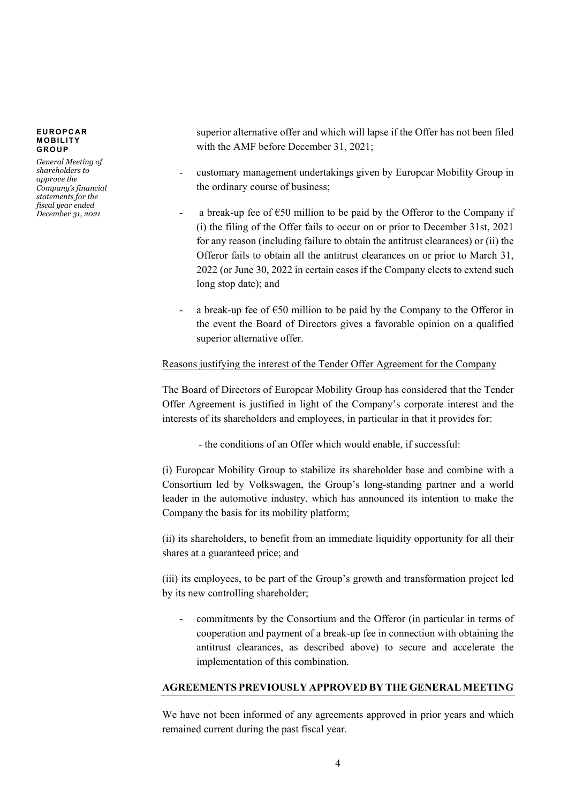*General Meeting of shareholders to approve the Company's financial statements for the fiscal year ended December 31, 2021*

superior alternative offer and which will lapse if the Offer has not been filed with the AMF before December 31, 2021;

- customary management undertakings given by Europcar Mobility Group in the ordinary course of business;
- a break-up fee of  $\epsilon$ 50 million to be paid by the Offeror to the Company if (i) the filing of the Offer fails to occur on or prior to December 31st, 2021 for any reason (including failure to obtain the antitrust clearances) or (ii) the Offeror fails to obtain all the antitrust clearances on or prior to March 31, 2022 (or June 30, 2022 in certain cases if the Company elects to extend such long stop date); and
- a break-up fee of  $\epsilon$ 50 million to be paid by the Company to the Offeror in the event the Board of Directors gives a favorable opinion on a qualified superior alternative offer.

## Reasons justifying the interest of the Tender Offer Agreement for the Company

The Board of Directors of Europcar Mobility Group has considered that the Tender Offer Agreement is justified in light of the Company's corporate interest and the interests of its shareholders and employees, in particular in that it provides for:

- the conditions of an Offer which would enable, if successful:

(i) Europcar Mobility Group to stabilize its shareholder base and combine with a Consortium led by Volkswagen, the Group's long-standing partner and a world leader in the automotive industry, which has announced its intention to make the Company the basis for its mobility platform;

(ii) its shareholders, to benefit from an immediate liquidity opportunity for all their shares at a guaranteed price; and

(iii) its employees, to be part of the Group's growth and transformation project led by its new controlling shareholder;

commitments by the Consortium and the Offeror (in particular in terms of cooperation and payment of a break-up fee in connection with obtaining the antitrust clearances, as described above) to secure and accelerate the implementation of this combination.

### **AGREEMENTS PREVIOUSLY APPROVED BY THE GENERAL MEETING**

We have not been informed of any agreements approved in prior years and which remained current during the past fiscal year.